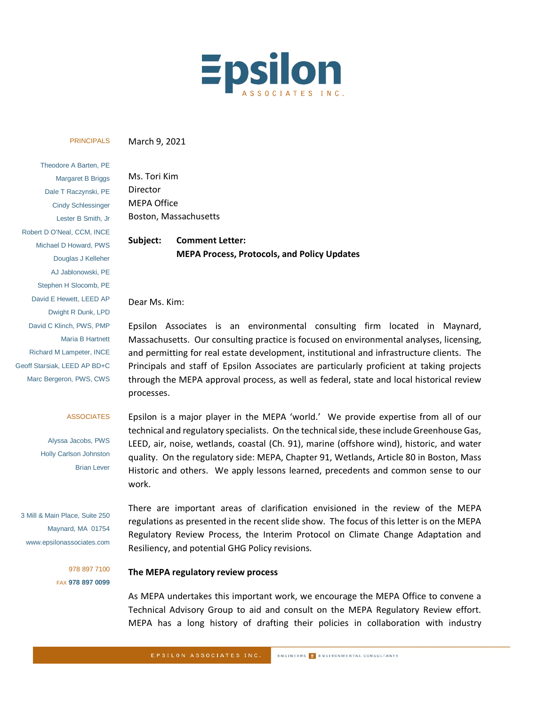

#### PRINCIPALS

March 9, 2021

Theodore A Barten, PE Margaret B Briggs Dale T Raczynski, PE Cindy Schlessinger Lester B Smith, Jr Robert D O'Neal, CCM, INCE Michael D Howard, PWS Douglas J Kelleher AJ Jablonowski, PE Stephen H Slocomb, PE David E Hewett, LEED AP Dwight R Dunk, LPD David C Klinch, PWS, PMP Maria B Hartnett Richard M Lampeter, INCE Geoff Starsiak, LEED AP BD+C Marc Bergeron, PWS, CWS

#### ASSOCIATES

Alyssa Jacobs, PWS Holly Carlson Johnston Brian Lever

3 Mill & Main Place, Suite 250 Maynard, MA 01754 www.epsilonassociates.com

> 978 897 7100 FAX **978 897 0099**

Ms. Tori Kim Director MEPA Office Boston, Massachusetts

**Subject: Comment Letter: MEPA Process, Protocols, and Policy Updates**

#### Dear Ms. Kim:

Epsilon Associates is an environmental consulting firm located in Maynard, Massachusetts. Our consulting practice is focused on environmental analyses, licensing, and permitting for real estate development, institutional and infrastructure clients. The Principals and staff of Epsilon Associates are particularly proficient at taking projects through the MEPA approval process, as well as federal, state and local historical review processes.

Epsilon is a major player in the MEPA 'world.' We provide expertise from all of our technical and regulatory specialists. On the technical side, these include Greenhouse Gas, LEED, air, noise, wetlands, coastal (Ch. 91), marine (offshore wind), historic, and water quality. On the regulatory side: MEPA, Chapter 91, Wetlands, Article 80 in Boston, Mass Historic and others. We apply lessons learned, precedents and common sense to our work.

There are important areas of clarification envisioned in the review of the MEPA regulations as presented in the recent slide show. The focus of this letter is on the MEPA Regulatory Review Process, the Interim Protocol on Climate Change Adaptation and Resiliency, and potential GHG Policy revisions.

# **The MEPA regulatory review process**

As MEPA undertakes this important work, we encourage the MEPA Office to convene a Technical Advisory Group to aid and consult on the MEPA Regulatory Review effort. MEPA has a long history of drafting their policies in collaboration with industry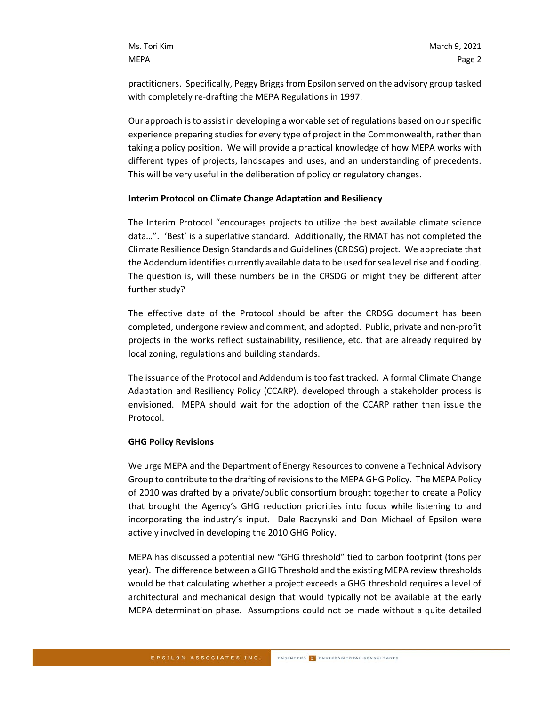practitioners. Specifically, Peggy Briggs from Epsilon served on the advisory group tasked with completely re-drafting the MEPA Regulations in 1997.

Our approach is to assist in developing a workable set of regulations based on our specific experience preparing studies for every type of project in the Commonwealth, rather than taking a policy position. We will provide a practical knowledge of how MEPA works with different types of projects, landscapes and uses, and an understanding of precedents. This will be very useful in the deliberation of policy or regulatory changes.

## **Interim Protocol on Climate Change Adaptation and Resiliency**

The Interim Protocol "encourages projects to utilize the best available climate science data…". 'Best' is a superlative standard. Additionally, the RMAT has not completed the Climate Resilience Design Standards and Guidelines (CRDSG) project. We appreciate that the Addendum identifies currently available data to be used for sea level rise and flooding. The question is, will these numbers be in the CRSDG or might they be different after further study?

The effective date of the Protocol should be after the CRDSG document has been completed, undergone review and comment, and adopted. Public, private and non-profit projects in the works reflect sustainability, resilience, etc. that are already required by local zoning, regulations and building standards.

The issuance of the Protocol and Addendum is too fast tracked. A formal Climate Change Adaptation and Resiliency Policy (CCARP), developed through a stakeholder process is envisioned. MEPA should wait for the adoption of the CCARP rather than issue the Protocol.

## **GHG Policy Revisions**

We urge MEPA and the Department of Energy Resources to convene a Technical Advisory Group to contribute to the drafting of revisions to the MEPA GHG Policy. The MEPA Policy of 2010 was drafted by a private/public consortium brought together to create a Policy that brought the Agency's GHG reduction priorities into focus while listening to and incorporating the industry's input. Dale Raczynski and Don Michael of Epsilon were actively involved in developing the 2010 GHG Policy.

MEPA has discussed a potential new "GHG threshold" tied to carbon footprint (tons per year). The difference between a GHG Threshold and the existing MEPA review thresholds would be that calculating whether a project exceeds a GHG threshold requires a level of architectural and mechanical design that would typically not be available at the early MEPA determination phase. Assumptions could not be made without a quite detailed